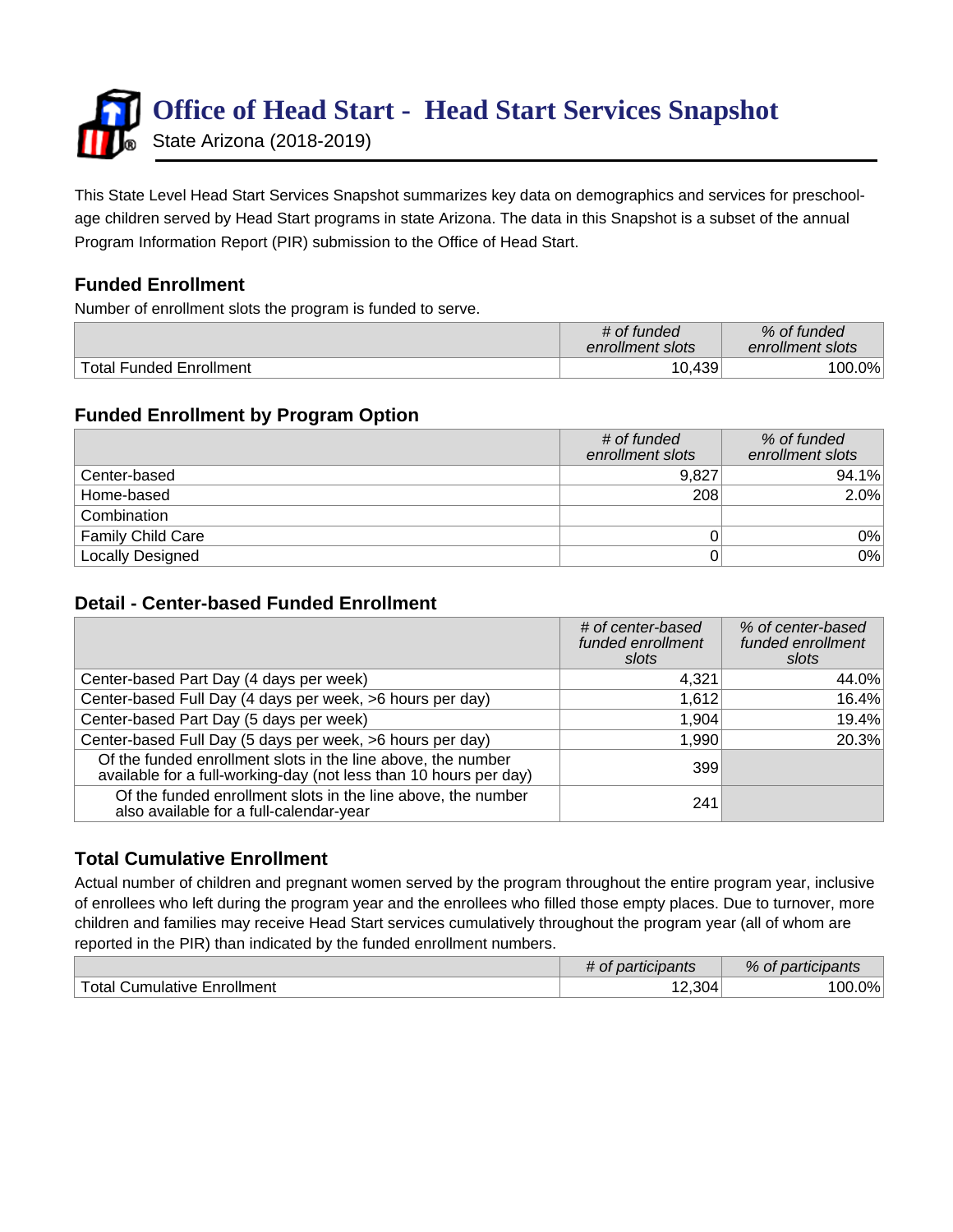

This State Level Head Start Services Snapshot summarizes key data on demographics and services for preschoolage children served by Head Start programs in state Arizona. The data in this Snapshot is a subset of the annual Program Information Report (PIR) submission to the Office of Head Start.

## **Funded Enrollment**

Number of enrollment slots the program is funded to serve.

|                                | # of funded<br>enrollment slots | % of funded<br>enrollment slots |
|--------------------------------|---------------------------------|---------------------------------|
| <b>Total Funded Enrollment</b> | 10,439                          | $100.0\%$                       |

## **Funded Enrollment by Program Option**

|                          | # of funded<br>enrollment slots | % of funded<br>enrollment slots |
|--------------------------|---------------------------------|---------------------------------|
| Center-based             | 9,827                           | 94.1%                           |
| Home-based               | 208                             | 2.0%                            |
| Combination              |                                 |                                 |
| <b>Family Child Care</b> |                                 | $0\%$                           |
| <b>Locally Designed</b>  |                                 | 0%                              |

#### **Detail - Center-based Funded Enrollment**

|                                                                                                                                   | # of center-based<br>funded enrollment<br>slots | % of center-based<br>funded enrollment<br>slots |
|-----------------------------------------------------------------------------------------------------------------------------------|-------------------------------------------------|-------------------------------------------------|
| Center-based Part Day (4 days per week)                                                                                           | 4,321                                           | 44.0%                                           |
| Center-based Full Day (4 days per week, >6 hours per day)                                                                         | 1,612                                           | 16.4%                                           |
| Center-based Part Day (5 days per week)                                                                                           | 1,904                                           | 19.4%                                           |
| Center-based Full Day (5 days per week, >6 hours per day)                                                                         | 1,990                                           | 20.3%                                           |
| Of the funded enrollment slots in the line above, the number<br>available for a full-working-day (not less than 10 hours per day) | 399                                             |                                                 |
| Of the funded enrollment slots in the line above, the number<br>also available for a full-calendar-year                           | 241                                             |                                                 |

## **Total Cumulative Enrollment**

Actual number of children and pregnant women served by the program throughout the entire program year, inclusive of enrollees who left during the program year and the enrollees who filled those empty places. Due to turnover, more children and families may receive Head Start services cumulatively throughout the program year (all of whom are reported in the PIR) than indicated by the funded enrollment numbers.

|                                  | <u>articipants</u><br>va<br>- UL | %<br>participants<br>ΟĪ |  |
|----------------------------------|----------------------------------|-------------------------|--|
| Enrollment<br>Cumulative<br>otal | 304                              | $0\%$<br>١OC            |  |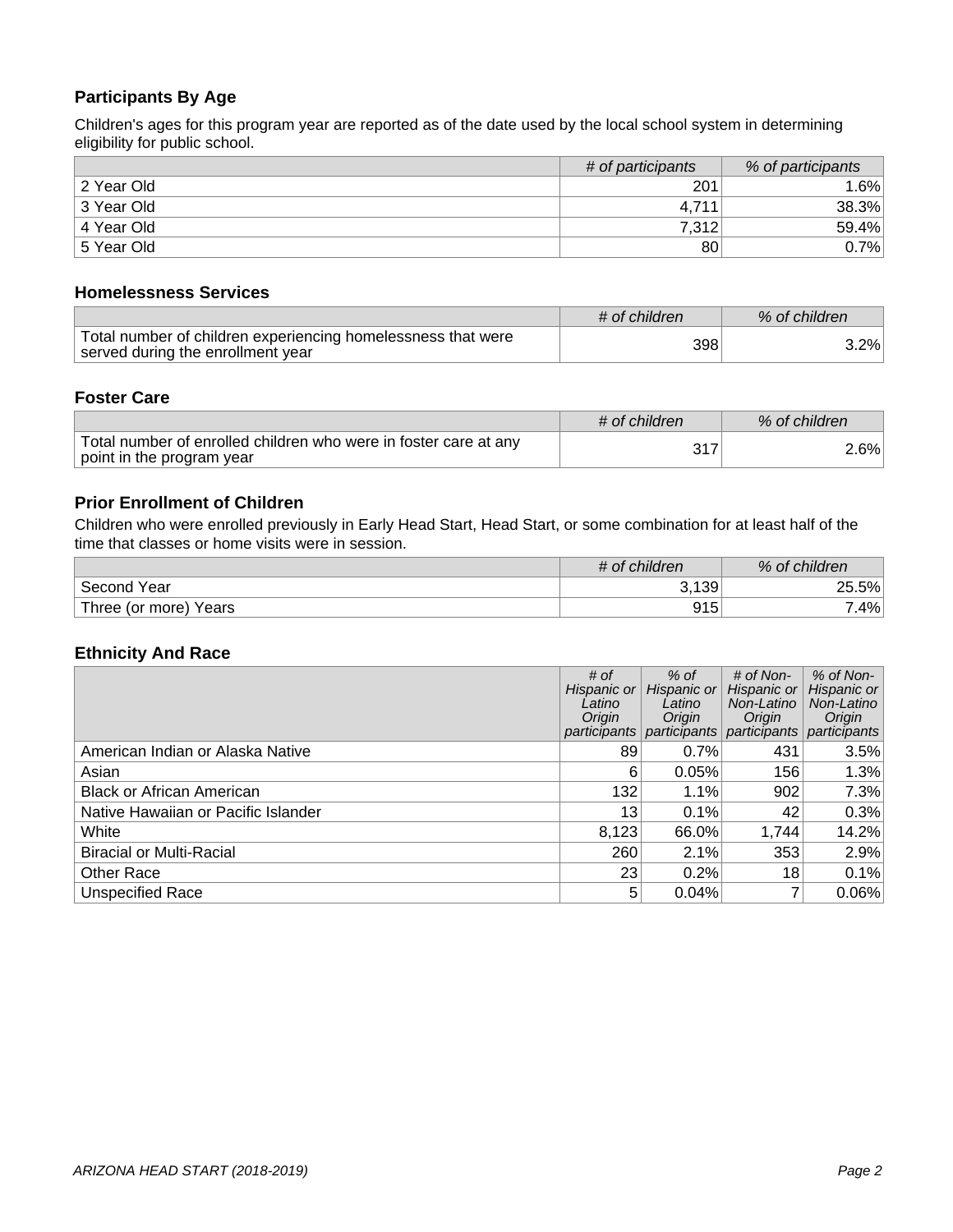### **Participants By Age**

Children's ages for this program year are reported as of the date used by the local school system in determining eligibility for public school.

|            | # of participants | % of participants |
|------------|-------------------|-------------------|
| 2 Year Old | 201               | $.6\%$            |
| 3 Year Old | 4.711             | 38.3%             |
| 4 Year Old | 7,312             | 59.4%             |
| 5 Year Old | 80 <sub>1</sub>   | $0.7\%$           |

#### **Homelessness Services**

|                                                                                                   | # of children | % of children |
|---------------------------------------------------------------------------------------------------|---------------|---------------|
| Total number of children experiencing homelessness that were<br>served during the enrollment year | 398           | 3.2%          |

#### **Foster Care**

|                                                                                               | # of children | % of children |
|-----------------------------------------------------------------------------------------------|---------------|---------------|
| Total number of enrolled children who were in foster care at any<br>point in the program year |               | $2.6\%$       |

#### **Prior Enrollment of Children**

Children who were enrolled previously in Early Head Start, Head Start, or some combination for at least half of the time that classes or home visits were in session.

|                          | # of children | % of children |  |  |
|--------------------------|---------------|---------------|--|--|
| Second<br>Year           | 3,139         | 5%<br>ົ       |  |  |
| Years<br>Three (or more) | Q1 5<br>ອ ເບ  | 4%            |  |  |

#### **Ethnicity And Race**

|                                     | # of<br>Hispanic or<br>Latino<br>Origin<br>participants | $%$ of<br>Hispanic or<br>Latino<br>Origin<br>participants | $#$ of Non-<br>Hispanic or<br>Non-Latino<br>Origin<br>participants | $%$ of Non- $ $<br>Hispanic or<br>Non-Latino<br>Origin<br>participants |
|-------------------------------------|---------------------------------------------------------|-----------------------------------------------------------|--------------------------------------------------------------------|------------------------------------------------------------------------|
| American Indian or Alaska Native    | 89                                                      | 0.7%                                                      | 431                                                                | 3.5%                                                                   |
| Asian                               | 6                                                       | 0.05%                                                     | 156                                                                | 1.3%                                                                   |
| <b>Black or African American</b>    | 132                                                     | 1.1%                                                      | 902                                                                | 7.3%                                                                   |
| Native Hawaiian or Pacific Islander | 13                                                      | 0.1%                                                      | 42                                                                 | 0.3%                                                                   |
| White                               | 8,123                                                   | 66.0%                                                     | 1,744                                                              | 14.2%                                                                  |
| <b>Biracial or Multi-Racial</b>     | 260                                                     | 2.1%                                                      | 353                                                                | 2.9%                                                                   |
| <b>Other Race</b>                   | 23                                                      | 0.2%                                                      | 18                                                                 | 0.1%                                                                   |
| <b>Unspecified Race</b>             | 5                                                       | 0.04%                                                     |                                                                    | 0.06%                                                                  |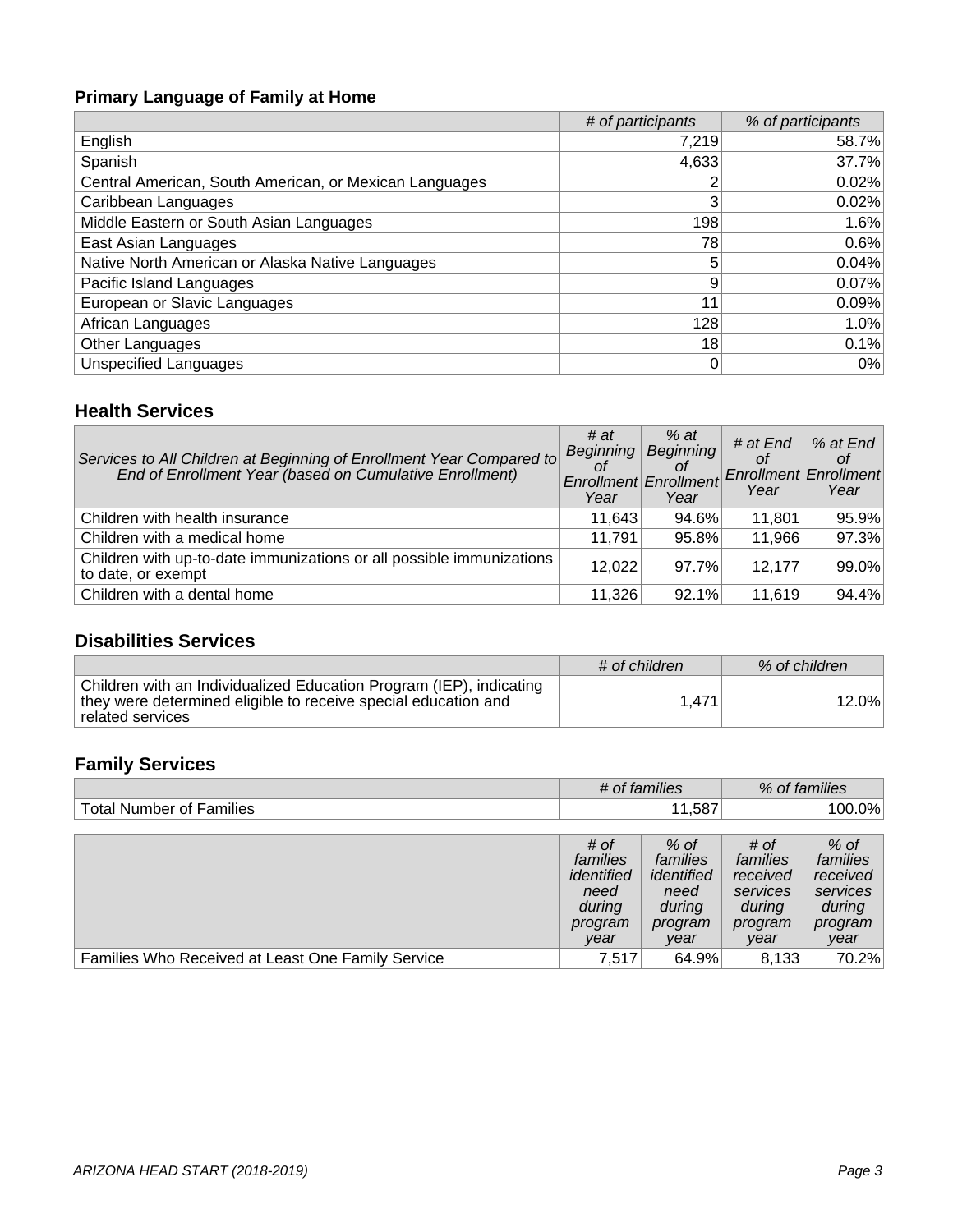# **Primary Language of Family at Home**

|                                                        | # of participants | % of participants |
|--------------------------------------------------------|-------------------|-------------------|
| English                                                | 7,219             | 58.7%             |
| Spanish                                                | 4,633             | 37.7%             |
| Central American, South American, or Mexican Languages |                   | 0.02%             |
| Caribbean Languages                                    | 3                 | 0.02%             |
| Middle Eastern or South Asian Languages                | 198               | 1.6%              |
| East Asian Languages                                   | 78                | 0.6%              |
| Native North American or Alaska Native Languages       | 5                 | 0.04%             |
| Pacific Island Languages                               | 9                 | 0.07%             |
| European or Slavic Languages                           | 11                | 0.09%             |
| African Languages                                      | 128               | 1.0%              |
| Other Languages                                        | 18                | 0.1%              |
| <b>Unspecified Languages</b>                           | 0                 | $0\%$             |

## **Health Services**

| Services to All Children at Beginning of Enrollment Year Compared to<br>End of Enrollment Year (based on Cumulative Enrollment) | # $at$<br>Beginning<br>Οt<br>Enrollment<br>Year | $%$ at<br>Beginning<br>Οt<br>Enrollment<br>Year | # at End<br>Οf<br>Year | % at End<br>Οt<br><b>Enrollment Enrollment</b><br>Year |
|---------------------------------------------------------------------------------------------------------------------------------|-------------------------------------------------|-------------------------------------------------|------------------------|--------------------------------------------------------|
| Children with health insurance                                                                                                  | 11.643                                          | 94.6%                                           | 11,801                 | 95.9%                                                  |
| Children with a medical home                                                                                                    | 11,791                                          | 95.8%                                           | 11,966                 | 97.3%                                                  |
| Children with up-to-date immunizations or all possible immunizations<br>to date, or exempt                                      | 12,022                                          | 97.7%                                           | 12.177                 | 99.0%                                                  |
| Children with a dental home                                                                                                     | 11,326                                          | 92.1%                                           | 11,619                 | 94.4%                                                  |

## **Disabilities Services**

|                                                                                                                                                           | # of children | % of children |
|-----------------------------------------------------------------------------------------------------------------------------------------------------------|---------------|---------------|
| Children with an Individualized Education Program (IEP), indicating<br>they were determined eligible to receive special education and<br>related services | 1.471         | 12.0%         |

# **Family Services**

|                                                   | # of families                                                       |                                                                       | % of families                                                         |                                                                         |
|---------------------------------------------------|---------------------------------------------------------------------|-----------------------------------------------------------------------|-----------------------------------------------------------------------|-------------------------------------------------------------------------|
| <b>Total Number of Families</b>                   |                                                                     | 11,587                                                                |                                                                       | $100.0\%$                                                               |
|                                                   |                                                                     |                                                                       |                                                                       |                                                                         |
|                                                   | # of<br>families<br>identified<br>need<br>during<br>program<br>year | $%$ of<br>families<br>identified<br>need<br>during<br>program<br>year | # of<br>families<br>received<br>services<br>during<br>program<br>year | $%$ of<br>families<br>received<br>services<br>during<br>program<br>year |
| Families Who Received at Least One Family Service | 7.517                                                               | 64.9%                                                                 | 8,133                                                                 | 70.2%                                                                   |